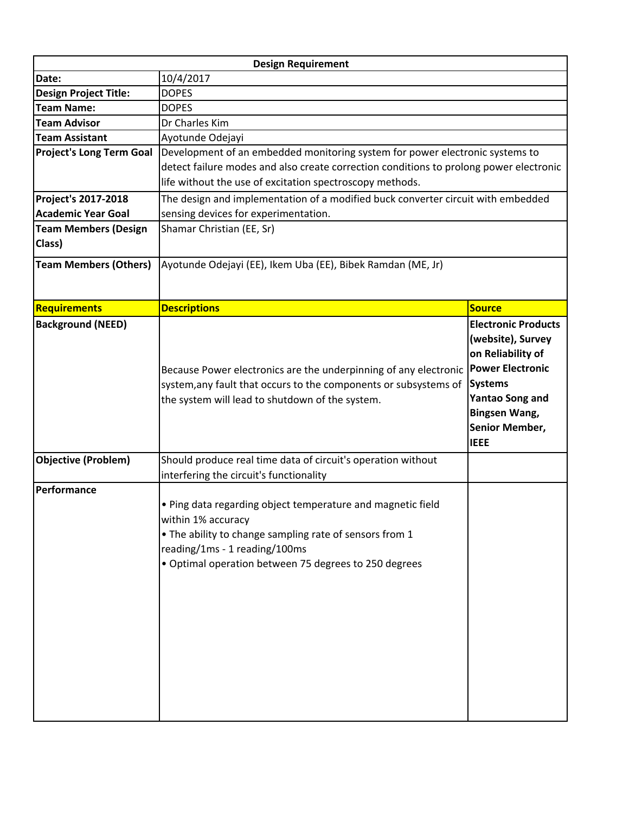| <b>Design Requirement</b>                                                                                                                                                                                                              |                                                                                                                                                                               |  |
|----------------------------------------------------------------------------------------------------------------------------------------------------------------------------------------------------------------------------------------|-------------------------------------------------------------------------------------------------------------------------------------------------------------------------------|--|
| 10/4/2017                                                                                                                                                                                                                              |                                                                                                                                                                               |  |
| <b>DOPES</b>                                                                                                                                                                                                                           |                                                                                                                                                                               |  |
| <b>DOPES</b>                                                                                                                                                                                                                           |                                                                                                                                                                               |  |
| Dr Charles Kim                                                                                                                                                                                                                         |                                                                                                                                                                               |  |
| Ayotunde Odejayi                                                                                                                                                                                                                       |                                                                                                                                                                               |  |
| <b>Project's Long Term Goal</b><br>Development of an embedded monitoring system for power electronic systems to                                                                                                                        |                                                                                                                                                                               |  |
| detect failure modes and also create correction conditions to prolong power electronic                                                                                                                                                 |                                                                                                                                                                               |  |
| life without the use of excitation spectroscopy methods.                                                                                                                                                                               |                                                                                                                                                                               |  |
| The design and implementation of a modified buck converter circuit with embedded                                                                                                                                                       |                                                                                                                                                                               |  |
| sensing devices for experimentation.                                                                                                                                                                                                   |                                                                                                                                                                               |  |
| Shamar Christian (EE, Sr)                                                                                                                                                                                                              |                                                                                                                                                                               |  |
|                                                                                                                                                                                                                                        |                                                                                                                                                                               |  |
| Ayotunde Odejayi (EE), Ikem Uba (EE), Bibek Ramdan (ME, Jr)                                                                                                                                                                            |                                                                                                                                                                               |  |
|                                                                                                                                                                                                                                        | <b>Source</b>                                                                                                                                                                 |  |
|                                                                                                                                                                                                                                        | <b>Electronic Products</b>                                                                                                                                                    |  |
| Because Power electronics are the underpinning of any electronic<br>system, any fault that occurs to the components or subsystems of<br>the system will lead to shutdown of the system.                                                | (website), Survey<br>on Reliability of<br><b>Power Electronic</b><br><b>Systems</b><br><b>Yantao Song and</b><br><b>Bingsen Wang,</b><br><b>Senior Member,</b><br><b>IEEE</b> |  |
| interfering the circuit's functionality                                                                                                                                                                                                |                                                                                                                                                                               |  |
| . Ping data regarding object temperature and magnetic field<br>within 1% accuracy<br>. The ability to change sampling rate of sensors from 1<br>reading/1ms - 1 reading/100ms<br>· Optimal operation between 75 degrees to 250 degrees |                                                                                                                                                                               |  |
|                                                                                                                                                                                                                                        | <b>Descriptions</b><br>Should produce real time data of circuit's operation without                                                                                           |  |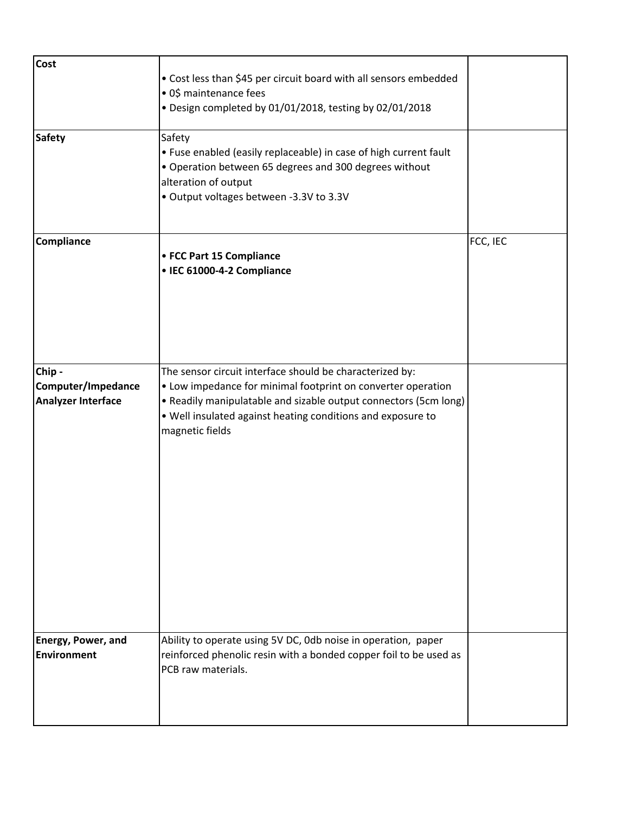| <b>Cost</b><br><b>Safety</b>                             | • Cost less than \$45 per circuit board with all sensors embedded<br>· 0\$ maintenance fees<br>· Design completed by 01/01/2018, testing by 02/01/2018<br>Safety                                                                                                               |          |
|----------------------------------------------------------|--------------------------------------------------------------------------------------------------------------------------------------------------------------------------------------------------------------------------------------------------------------------------------|----------|
|                                                          | • Fuse enabled (easily replaceable) in case of high current fault<br>• Operation between 65 degrees and 300 degrees without<br>alteration of output<br>· Output voltages between -3.3V to 3.3V                                                                                 |          |
| Compliance                                               | • FCC Part 15 Compliance<br>• IEC 61000-4-2 Compliance                                                                                                                                                                                                                         | FCC, IEC |
| Chip-<br>Computer/Impedance<br><b>Analyzer Interface</b> | The sensor circuit interface should be characterized by:<br>• Low impedance for minimal footprint on converter operation<br>• Readily manipulatable and sizable output connectors (5cm long)<br>. Well insulated against heating conditions and exposure to<br>magnetic fields |          |
| Energy, Power, and<br><b>Environment</b>                 | Ability to operate using 5V DC, 0db noise in operation, paper<br>reinforced phenolic resin with a bonded copper foil to be used as<br>PCB raw materials.                                                                                                                       |          |